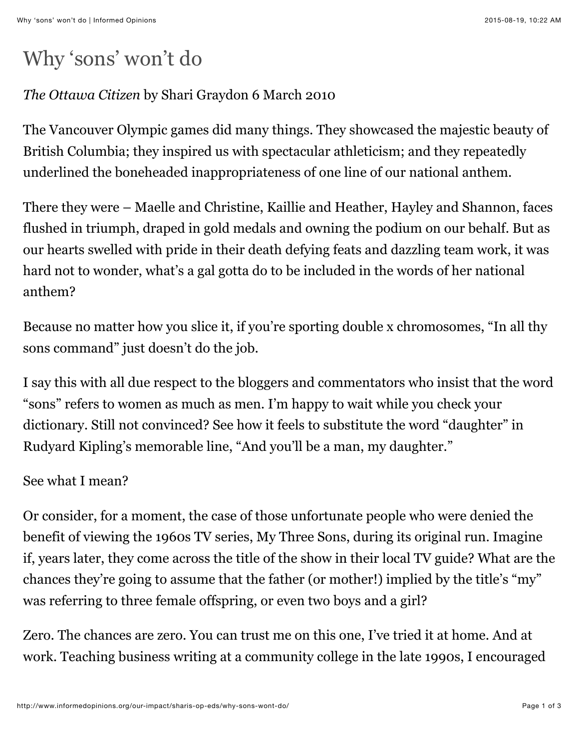# Why 'sons' won't do

## *The Ottawa Citizen* by Shari Graydon 6 March 2010

The Vancouver Olympic games did many things. They showcased the majestic beauty of British Columbia; they inspired us with spectacular athleticism; and they repeatedly underlined the boneheaded inappropriateness of one line of our national anthem.

There they were – Maelle and Christine, Kaillie and Heather, Hayley and Shannon, faces flushed in triumph, draped in gold medals and owning the podium on our behalf. But as our hearts swelled with pride in their death defying feats and dazzling team work, it was hard not to wonder, what's a gal gotta do to be included in the words of her national anthem?

Because no matter how you slice it, if you're sporting double x chromosomes, "In all thy sons command" just doesn't do the job.

I say this with all due respect to the bloggers and commentators who insist that the word "sons" refers to women as much as men. I'm happy to wait while you check your dictionary. Still not convinced? See how it feels to substitute the word "daughter" in Rudyard Kipling's memorable line, "And you'll be a man, my daughter."

#### See what I mean?

Or consider, for a moment, the case of those unfortunate people who were denied the benefit of viewing the 1960s TV series, My Three Sons, during its original run. Imagine if, years later, they come across the title of the show in their local TV guide? What are the chances they're going to assume that the father (or mother!) implied by the title's "my" was referring to three female offspring, or even two boys and a girl?

Zero. The chances are zero. You can trust me on this one, I've tried it at home. And at work. Teaching business writing at a community college in the late 1990s, I encouraged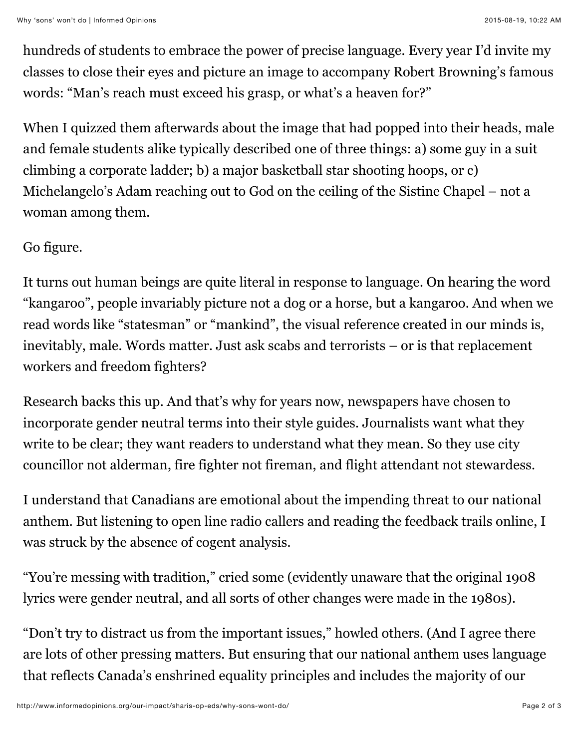Why 'sons' won't do | Informed Opinions 2015-08-19, 10:22 AM

hundreds of students to embrace the power of precise language. Every year I'd invite my classes to close their eyes and picture an image to accompany Robert Browning's famous words: "Man's reach must exceed his grasp, or what's a heaven for?"

When I quizzed them afterwards about the image that had popped into their heads, male and female students alike typically described one of three things: a) some guy in a suit climbing a corporate ladder; b) a major basketball star shooting hoops, or c) Michelangelo's Adam reaching out to God on the ceiling of the Sistine Chapel – not a woman among them.

### Go figure.

It turns out human beings are quite literal in response to language. On hearing the word "kangaroo", people invariably picture not a dog or a horse, but a kangaroo. And when we read words like "statesman" or "mankind", the visual reference created in our minds is, inevitably, male. Words matter. Just ask scabs and terrorists – or is that replacement workers and freedom fighters?

Research backs this up. And that's why for years now, newspapers have chosen to incorporate gender neutral terms into their style guides. Journalists want what they write to be clear; they want readers to understand what they mean. So they use city councillor not alderman, fire fighter not fireman, and flight attendant not stewardess.

I understand that Canadians are emotional about the impending threat to our national anthem. But listening to open line radio callers and reading the feedback trails online, I was struck by the absence of cogent analysis.

"You're messing with tradition," cried some (evidently unaware that the original 1908 lyrics were gender neutral, and all sorts of other changes were made in the 1980s).

"Don't try to distract us from the important issues," howled others. (And I agree there are lots of other pressing matters. But ensuring that our national anthem uses language that reflects Canada's enshrined equality principles and includes the majority of our